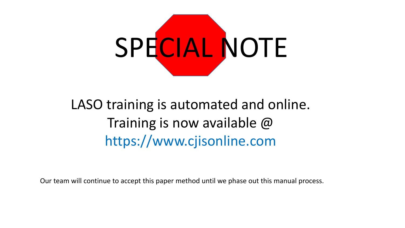

# LASO training is automated and online. Training is now available @ https://www.cjisonline.com

Our team will continue to accept this paper method until we phase out this manual process.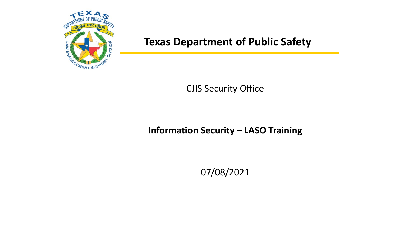

#### CJIS Security Office

#### **Information Security – LASO Training**

07/08/2021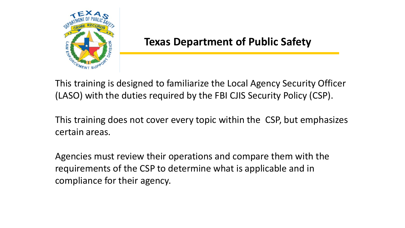

This training is designed to familiarize the Local Agency Security Officer (LASO) with the duties required by the FBI CJIS Security Policy (CSP).

This training does not cover every topic within the CSP, but emphasizes certain areas.

Agencies must review their operations and compare them with the requirements of the CSP to determine what is applicable and in compliance for their agency.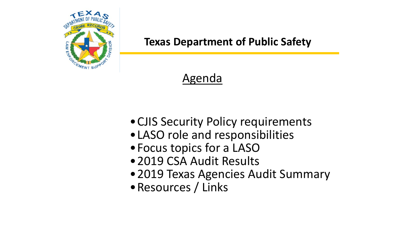

## Agenda

- •CJIS Security Policy requirements
- •LASO role and responsibilities
- •Focus topics for a LASO
- •2019 CSA Audit Results
- •2019 Texas Agencies Audit Summary
- •Resources / Links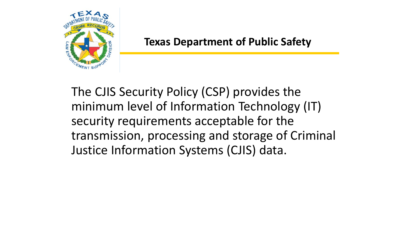

The CJIS Security Policy (CSP) provides the minimum level of Information Technology (IT) security requirements acceptable for the transmission, processing and storage of Criminal Justice Information Systems (CJIS) data.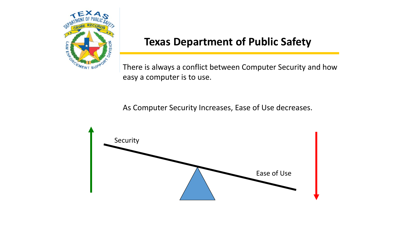

There is always a conflict between Computer Security and how easy a computer is to use.

As Computer Security Increases, Ease of Use decreases.

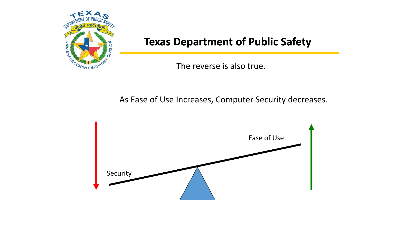

The reverse is also true.

As Ease of Use Increases, Computer Security decreases.

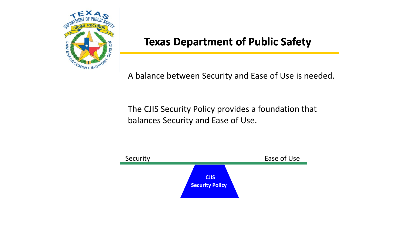

A balance between Security and Ease of Use is needed.

The CJIS Security Policy provides a foundation that balances Security and Ease of Use.

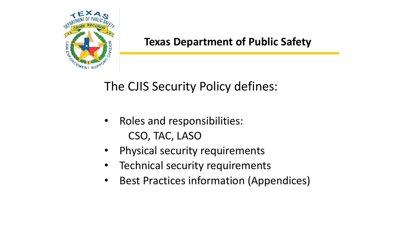

## The CJIS Security Policy defines:

- Roles and responsibilities: CSO, TAC, LASO
- Physical security requirements
- Technical security requirements
- Best Practices information (Appendices)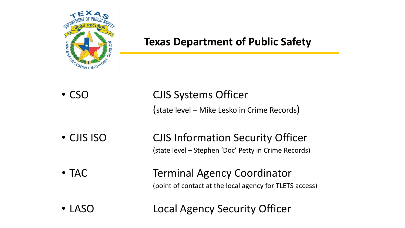

- CSO CJIS Systems Officer (state level – Mike Lesko in Crime Records) • CJIS ISO **CJIS Information Security Officer** (state level – Stephen 'Doc' Petty in Crime Records) • TAC Terminal Agency Coordinator (point of contact at the local agency for TLETS access)
- LASO Local Agency Security Officer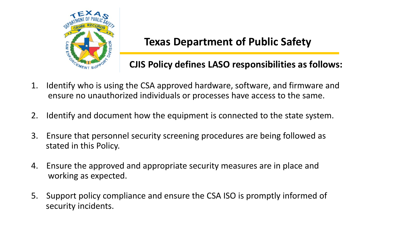

#### **CJIS Policy defines LASO responsibilities as follows:**

- 1. Identify who is using the CSA approved hardware, software, and firmware and ensure no unauthorized individuals or processes have access to the same.
- 2. Identify and document how the equipment is connected to the state system.
- 3. Ensure that personnel security screening procedures are being followed as stated in this Policy.
- 4. Ensure the approved and appropriate security measures are in place and working as expected.
- 5. Support policy compliance and ensure the CSA ISO is promptly informed of security incidents.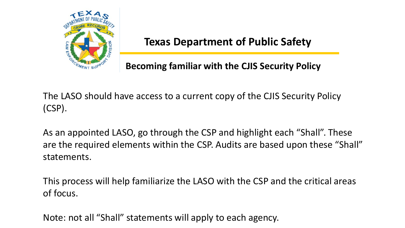

**Becoming familiar with the CJIS Security Policy**

The LASO should have access to a current copy of the CJIS Security Policy (CSP).

As an appointed LASO, go through the CSP and highlight each "Shall". These are the required elements within the CSP. Audits are based upon these "Shall" statements.

This process will help familiarize the LASO with the CSP and the critical areas of focus.

Note: not all "Shall" statements will apply to each agency.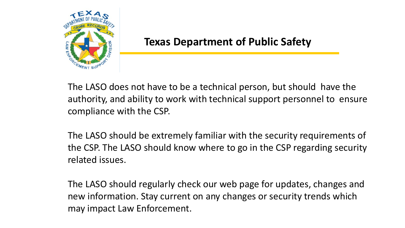

The LASO does not have to be a technical person, but should have the authority, and ability to work with technical support personnel to ensure compliance with the CSP.

The LASO should be extremely familiar with the security requirements of the CSP. The LASO should know where to go in the CSP regarding security related issues.

The LASO should regularly check our web page for updates, changes and new information. Stay current on any changes or security trends which may impact Law Enforcement.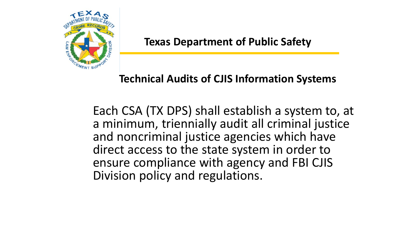

## **Technical Audits of CJIS Information Systems**

Each CSA (TX DPS) shall establish a system to, at a minimum, triennially audit all criminal justice and noncriminal justice agencies which have direct access to the state system in order to ensure compliance with agency and FBI CJIS Division policy and regulations.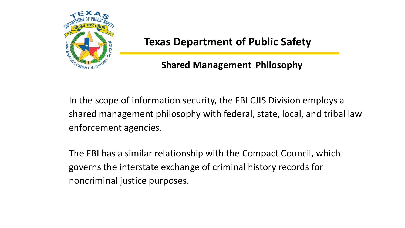

#### **Shared Management Philosophy**

In the scope of information security, the FBI CJIS Division employs a shared management philosophy with federal, state, local, and tribal law enforcement agencies.

The FBI has a similar relationship with the Compact Council, which governs the interstate exchange of criminal history records for noncriminal justice purposes.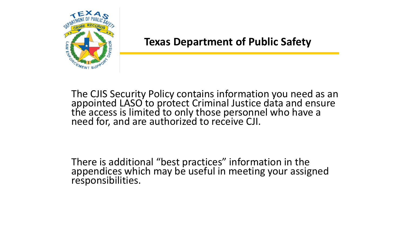

The CJIS Security Policy contains information you need as an appointed LASO to protect Criminal Justice data and ensure the access is limited to only those personnel who have a need for, and are authorized to receive CJI.

There is additional "best practices" information in the appendices which may be useful in meeting your assigned responsibilities.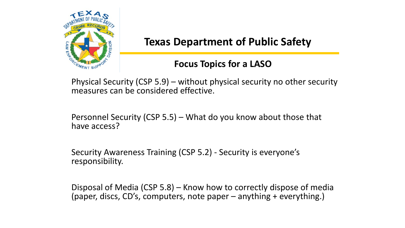

#### **Focus Topics for a LASO**

Physical Security (CSP 5.9) – without physical security no other security measures can be considered effective.

Personnel Security (CSP 5.5) – What do you know about those that have access?

Security Awareness Training (CSP 5.2) - Security is everyone's responsibility.

Disposal of Media (CSP 5.8) – Know how to correctly dispose of media (paper, discs, CD's, computers, note paper – anything + everything.)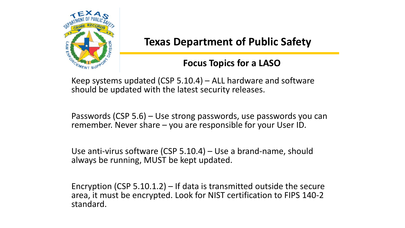

#### **Focus Topics for a LASO**

Keep systems updated (CSP 5.10.4) – ALL hardware and software should be updated with the latest security releases.

Passwords (CSP 5.6) – Use strong passwords, use passwords you can remember. Never share – you are responsible for your User ID.

Use anti-virus software (CSP 5.10.4) – Use a brand-name, should always be running, MUST be kept updated.

Encryption (CSP 5.10.1.2) – If data is transmitted outside the secure area, it must be encrypted. Look for NIST certification to FIPS 140-2 standard.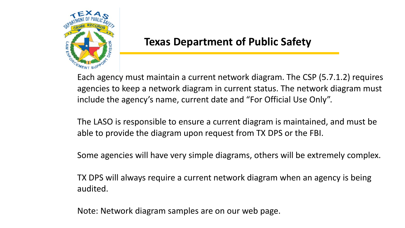

Each agency must maintain a current network diagram. The CSP (5.7.1.2) requires agencies to keep a network diagram in current status. The network diagram must include the agency's name, current date and "For Official Use Only".

The LASO is responsible to ensure a current diagram is maintained, and must be able to provide the diagram upon request from TX DPS or the FBI.

Some agencies will have very simple diagrams, others will be extremely complex.

TX DPS will always require a current network diagram when an agency is being audited.

Note: Network diagram samples are on our web page.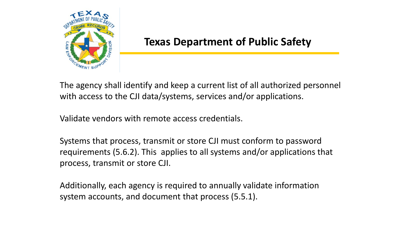

The agency shall identify and keep a current list of all authorized personnel with access to the CJI data/systems, services and/or applications.

Validate vendors with remote access credentials.

Systems that process, transmit or store CJI must conform to password requirements (5.6.2). This applies to all systems and/or applications that process, transmit or store CJI.

Additionally, each agency is required to annually validate information system accounts, and document that process (5.5.1).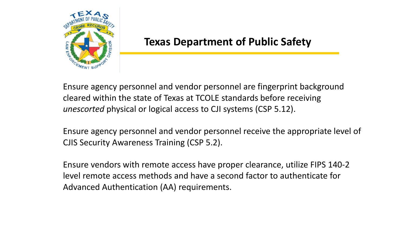

Ensure agency personnel and vendor personnel are fingerprint background cleared within the state of Texas at TCOLE standards before receiving *unescorted* physical or logical access to CJI systems (CSP 5.12).

Ensure agency personnel and vendor personnel receive the appropriate level of CJIS Security Awareness Training (CSP 5.2).

Ensure vendors with remote access have proper clearance, utilize FIPS 140-2 level remote access methods and have a second factor to authenticate for Advanced Authentication (AA) requirements.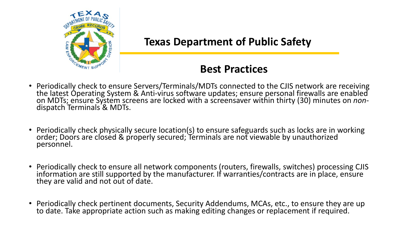

#### **Best Practices**

- Periodically check to ensure Servers/Terminals/MDTs connected to the CJIS network are receiving the latest Operating System & Anti-virus software updates; ensure personal firewalls are enabled<br>on MDTs; ensure System screens are locked with a screensaver within thirty (30) minutes on *non*-<br>dispatch Terminals & MDTs.
- Periodically check physically secure location(s) to ensure safeguards such as locks are in working order; Doors are closed & properly secured; Terminals are not viewable by unauthorized personnel.
- Periodically check to ensure all network components (routers, firewalls, switches) processing CJIS information are still supported by the manufacturer. If warranties/contracts are in place, ensure they are valid and not out of date.
- Periodically check pertinent documents, Security Addendums, MCAs, etc., to ensure they are up to date. Take appropriate action such as making editing changes or replacement if required.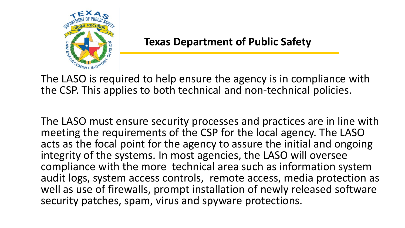

The LASO is required to help ensure the agency is in compliance with the CSP. This applies to both technical and non-technical policies.

The LASO must ensure security processes and practices are in line with meeting the requirements of the CSP for the local agency. The LASO acts as the focal point for the agency to assure the initial and ongoing integrity of the systems. In most agencies, the LASO will oversee compliance with the more technical area such as information system audit logs, system access controls, remote access, media protection as well as use of firewalls, prompt installation of newly released software security patches, spam, virus and spyware protections.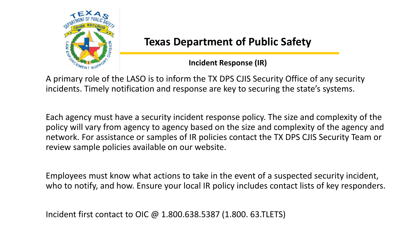

#### **Incident Response (IR)**

A primary role of the LASO is to inform the TX DPS CJIS Security Office of any security incidents. Timely notification and response are key to securing the state's systems.

Each agency must have a security incident response policy. The size and complexity of the policy will vary from agency to agency based on the size and complexity of the agency and network. For assistance or samples of IR policies contact the TX DPS CJIS Security Team or review sample policies available on our website.

Employees must know what actions to take in the event of a suspected security incident, who to notify, and how. Ensure your local IR policy includes contact lists of key responders.

Incident first contact to OIC @ 1.800.638.5387 (1.800. 63.TLETS)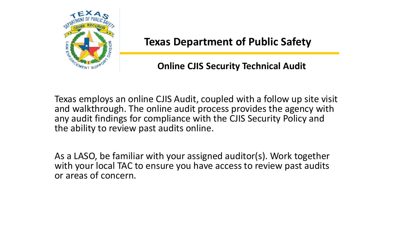

#### **Online CJIS Security Technical Audit**

Texas employs an online CJIS Audit, coupled with a follow up site visit and walkthrough. The online audit process provides the agency with any audit findings for compliance with the CJIS Security Policy and the ability to review past audits online.

As a LASO, be familiar with your assigned auditor(s). Work together with your local TAC to ensure you have access to review past audits or areas of concern.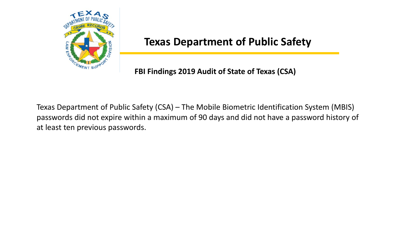

#### **FBI Findings 2019 Audit of State of Texas (CSA)**

Texas Department of Public Safety (CSA) – The Mobile Biometric Identification System (MBIS) passwords did not expire within a maximum of 90 days and did not have a password history of at least ten previous passwords.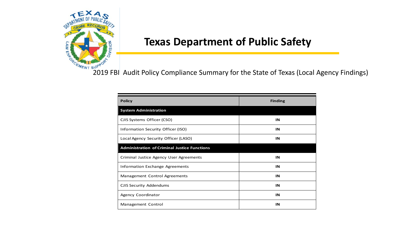

 $\frac{1}{\sigma_{R_{\text{C}}}}$  and  $R_{\text{NTS}}$  and  $R_{\text{NTS}}$  and  $R_{\text{NTS}}$  Compliance Summary for the State of Texas (Local Agency Findings)

| <b>Policy</b>                                       | <b>Finding</b> |
|-----------------------------------------------------|----------------|
| <b>System Administration</b>                        |                |
| CJIS Systems Officer (CSO)                          | IN             |
| Information Security Officer (ISO)                  | IN             |
| Local Agency Security Officer (LASO)                | IN             |
| <b>Administration of Criminal Justice Functions</b> |                |
| Criminal Justice Agency User Agreements             | IN             |
| <b>Information Exchange Agreements</b>              | IN             |
| Management Control Agreements                       | IN             |
| <b>CJIS Security Addendums</b>                      | IN             |
| Agency Coordinator                                  | IN             |
| Management Control                                  | IN             |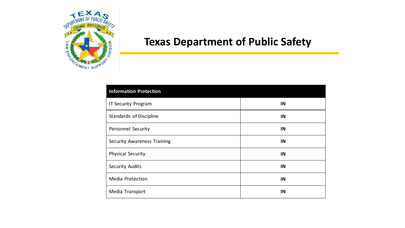

| Information Protection             |    |
|------------------------------------|----|
| <b>IT Security Program</b>         | IN |
| Standards of Discipline            | IN |
| <b>Personnel Security</b>          | IN |
| <b>Security Awareness Training</b> | IN |
| <b>Physical Security</b>           | IN |
| <b>Security Audits</b>             | IN |
| Media Protection                   | IN |
| Media Transport                    | IN |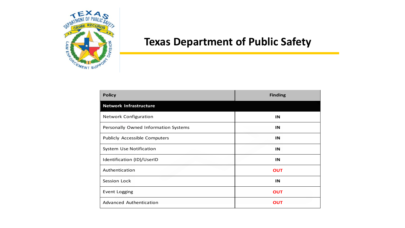

| <b>Policy</b>                        | <b>Finding</b> |
|--------------------------------------|----------------|
| <b>Network Infrastructure</b>        |                |
| <b>Network Configuration</b>         | IN             |
| Personally Owned Information Systems | IN             |
| Publicly Accessible Computers        | IN             |
| System Use Notification              | IN             |
| Identification (ID)/UserID           | IN             |
| Authentication                       | <b>OUT</b>     |
| Session Lock                         | IN             |
| Event Logging                        | <b>OUT</b>     |
| Advanced Authentication              | <b>OUT</b>     |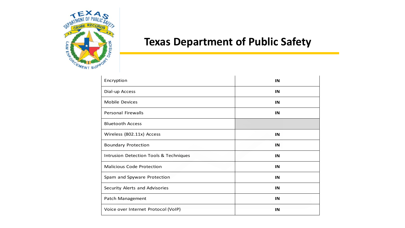

| Encryption                             | IN |
|----------------------------------------|----|
| Dial-up Access                         | IN |
| <b>Mobile Devices</b>                  | IN |
| <b>Personal Firewalls</b>              | IN |
| <b>Bluetooth Access</b>                |    |
| Wireless (802.11x) Access              | IN |
| <b>Boundary Protection</b>             | IN |
| Intrusion Detection Tools & Techniques | IN |
| <b>Malicious Code Protection</b>       | IN |
| Spam and Spyware Protection            | IN |
| Security Alerts and Advisories         | IN |
| Patch Management                       | IN |
| Voice over Internet Protocol (VoIP)    | IN |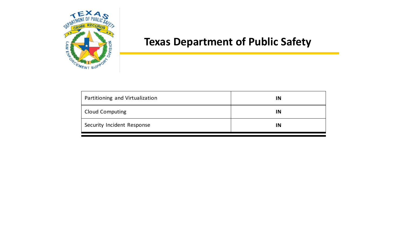

| Partitioning and Virtualization | IN |
|---------------------------------|----|
| <b>Cloud Computing</b>          | IN |
| Security Incident Response      | IN |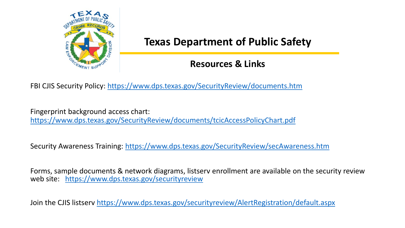

#### **Resources & Links**

FBI CJIS Security Policy: <https://www.dps.texas.gov/SecurityReview/documents.htm>

Fingerprint background access chart: <https://www.dps.texas.gov/SecurityReview/documents/tcicAccessPolicyChart.pdf>

Security Awareness Training: [https://www.dps.texas.gov/SecurityReview/secAwareness.htm](https://www.dps.texas.gov/securityreview)

Forms, sample documents & network diagrams, listserv enrollment are available on the security review web site: <https://www.dps.texas.gov/securityreview>

Join the CJIS listserv<https://www.dps.texas.gov/securityreview/AlertRegistration/default.aspx>